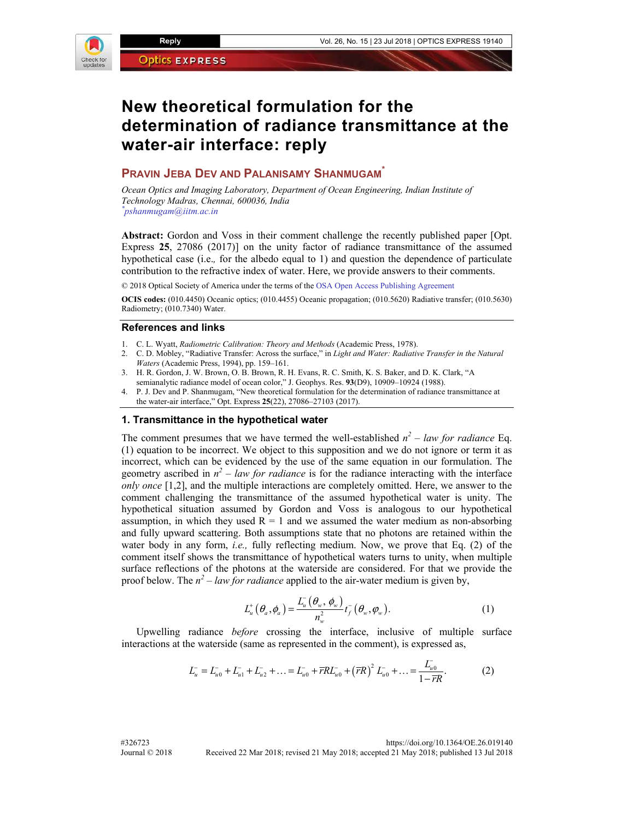

# **New theoretical formulation for the determination of radiance transmittance at the water-air interface: reply**

# **PRAVIN JEBA DEV AND PALANISAMY SHANMUGAM\***

*Ocean Optics and Imaging Laboratory, Department of Ocean Engineering, Indian Institute of Technology Madras, Chennai, 600036, India \* pshanmugam@iitm.ac.in* 

**Abstract:** Gordon and Voss in their comment challenge the recently published paper [Opt. Express **25**, 27086 (2017)] on the unity factor of radiance transmittance of the assumed hypothetical case (i.e.*,* for the albedo equal to 1) and question the dependence of particulate contribution to the refractive index of water. Here, we provide answers to their comments.

© 2018 Optical Society of America under the terms of the OSA Open Access Publishing Agreement

**OCIS codes:** (010.4450) Oceanic optics; (010.4455) Oceanic propagation; (010.5620) Radiative transfer; (010.5630) Radiometry; (010.7340) Water.

#### **References and links**

- 1. C. L. Wyatt, *Radiometric Calibration: Theory and Methods* (Academic Press, 1978).
- 2. C. D. Mobley, "Radiative Transfer: Across the surface," in *Light and Water: Radiative Transfer in the Natural Waters* (Academic Press, 1994), pp. 159–161.
- 3. H. R. Gordon, J. W. Brown, O. B. Brown, R. H. Evans, R. C. Smith, K. S. Baker, and D. K. Clark, "A semianalytic radiance model of ocean color," J. Geophys. Res. **93**(D9), 10909–10924 (1988).
- 4. P. J. Dev and P. Shanmugam, "New theoretical formulation for the determination of radiance transmittance at the water-air interface," Opt. Express **25**(22), 27086–27103 (2017).

## **1. Transmittance in the hypothetical water**

The comment presumes that we have termed the well-established  $n^2$  – law for radiance Eq. (1) equation to be incorrect. We object to this supposition and we do not ignore or term it as incorrect, which can be evidenced by the use of the same equation in our formulation. The geometry ascribed in  $n^2$  – law for radiance is for the radiance interacting with the interface *only once* [1,2], and the multiple interactions are completely omitted. Here, we answer to the comment challenging the transmittance of the assumed hypothetical water is unity. The hypothetical situation assumed by Gordon and Voss is analogous to our hypothetical assumption, in which they used  $R = 1$  and we assumed the water medium as non-absorbing and fully upward scattering. Both assumptions state that no photons are retained within the water body in any form, *i.e.,* fully reflecting medium. Now, we prove that Eq. (2) of the comment itself shows the transmittance of hypothetical waters turns to unity, when multiple surface reflections of the photons at the waterside are considered. For that we provide the proof below. The  $n^2$  – law for radiance applied to the air-water medium is given by,

$$
L_u^+\left(\theta_a,\phi_a\right) = \frac{L_u^-\left(\theta_w,\phi_w\right)}{n_w^2}t_f^-\left(\theta_w,\phi_w\right). \tag{1}
$$

Upwelling radiance *before* crossing the interface, inclusive of multiple surface interactions at the waterside (same as represented in the comment), is expressed as,

$$
L_{u}^{-} = L_{u0}^{-} + L_{u1}^{-} + L_{u2}^{-} + \dots = L_{u0}^{-} + \overline{rRL}_{u0}^{-} + (\overline{rR})^{2} L_{u0}^{-} + \dots = \frac{L_{u0}^{-}}{1 - \overline{rR}}.
$$
 (2)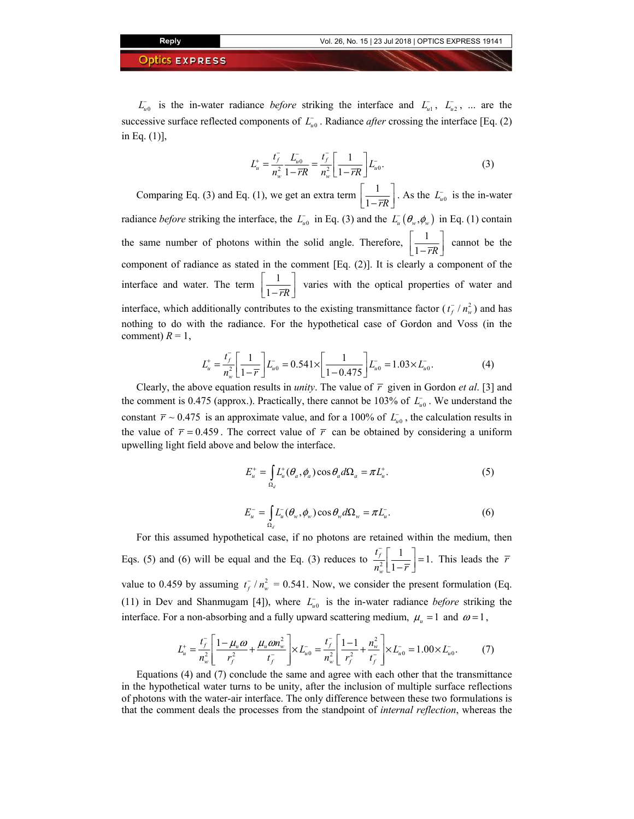$L_{u0}$  is the in-water radiance *before* striking the interface and  $L_{u1}$ ,  $L_{u2}$ , ... are the successive surface reflected components of  $L_{u0}$ . Radiance *after* crossing the interface [Eq. (2) in Eq. (1)],

$$
L_{u}^{+} = \frac{t_{f}^{-}}{n_{w}^{2}} \frac{L_{u0}^{-}}{1 - \overline{r}R} = \frac{t_{f}^{-}}{n_{w}^{2}} \left[ \frac{1}{1 - \overline{r}R} \right] L_{u0}^{-}.
$$
 (3)

Comparing Eq. (3) and Eq. (1), we get an extra term  $\frac{1}{1 - \overline{r}R}$   $\left[\frac{1}{1-\overline{r}R}\right]$ . As the *L*<sub>*u*0</sub> is the in-water radiance *before* striking the interface, the  $L_{u0}^-$  in Eq. (3) and the  $L_u(\theta_w, \phi_w)$  in Eq. (1) contain the same number of photons within the solid angle. Therefore,  $\frac{1}{1-\overline{r}R}$   $\left[\frac{1}{1-\overline{r}R}\right]$  cannot be the component of radiance as stated in the comment [Eq. (2)]. It is clearly a component of the interface and water. The term  $\frac{1}{1 - \overline{r}R}$   $\left[\frac{1}{1-\overline{r}R}\right]$  varies with the optical properties of water and interface, which additionally contributes to the existing transmittance factor  $(t_f^{-}/n_w^2)$  and has nothing to do with the radiance. For the hypothetical case of Gordon and Voss (in the comment)  $R = 1$ ,

$$
L_{u}^{+} = \frac{t_{f}^{-}}{n_{w}^{2}} \left[ \frac{1}{1 - \overline{r}} \right] L_{u0}^{-} = 0.541 \times \left[ \frac{1}{1 - 0.475} \right] L_{u0}^{-} = 1.03 \times L_{u0}^{-}.
$$
 (4)

Clearly, the above equation results in *unity*. The value of  $\bar{r}$  given in Gordon *et al.* [3] and the comment is 0.475 (approx.). Practically, there cannot be 103% of  $L_{u0}^-$ . We understand the constant  $\bar{r} \sim 0.475$  is an approximate value, and for a 100% of  $L_{u0}$ , the calculation results in the value of  $\bar{r} = 0.459$ . The correct value of  $\bar{r}$  can be obtained by considering a uniform upwelling light field above and below the interface.

$$
E_u^+ = \int_{\Omega_d} L_u^+ (\theta_a, \phi_a) \cos \theta_a d\Omega_a = \pi L_u^+.
$$
 (5)

$$
E_{u}^{-} = \int_{\Omega_{d}} L_{u}^{-}(\theta_{w}, \phi_{w}) \cos \theta_{w} d\Omega_{w} = \pi L_{u}^{-}.
$$
 (6)

For this assumed hypothetical case, if no photons are retained within the medium, then Eqs. (5) and (6) will be equal and the Eq. (3) reduces to  $\frac{t_f}{n_w^2} \left[ \frac{1}{1 - \overline{r}} \right] = 1$ . *f w t*  $n_w^2 \lfloor 1 - \overline{r} \rfloor$  $\int_{\frac{r}{w}}^{\frac{r}{2}} \left[ \frac{1}{1-\overline{r}} \right] = 1$ . This leads the  $\overline{r}$ value to 0.459 by assuming  $t_f / n_w^2 = 0.541$ . Now, we consider the present formulation (Eq. (11) in Dev and Shanmugam [4]), where  $L_{u0}^-$  is the in-water radiance *before* striking the interface. For a non-absorbing and a fully upward scattering medium,  $\mu_{\nu} = 1$  and  $\omega = 1$ ,

$$
L_{u}^{+} = \frac{t_{f}^{-}}{n_{w}^{2}} \left[ \frac{1 - \mu_{u} \omega}{r_{f}^{2}} + \frac{\mu_{u} \omega n_{w}^{2}}{t_{f}^{-}} \right] \times L_{u0}^{-} = \frac{t_{f}^{-}}{n_{w}^{2}} \left[ \frac{1 - 1}{r_{f}^{2}} + \frac{n_{w}^{2}}{t_{f}^{-}} \right] \times L_{u0}^{-} = 1.00 \times L_{u0}^{-}.
$$
 (7)

Equations (4) and (7) conclude the same and agree with each other that the transmittance in the hypothetical water turns to be unity, after the inclusion of multiple surface reflections of photons with the water-air interface. The only difference between these two formulations is that the comment deals the processes from the standpoint of *internal reflection*, whereas the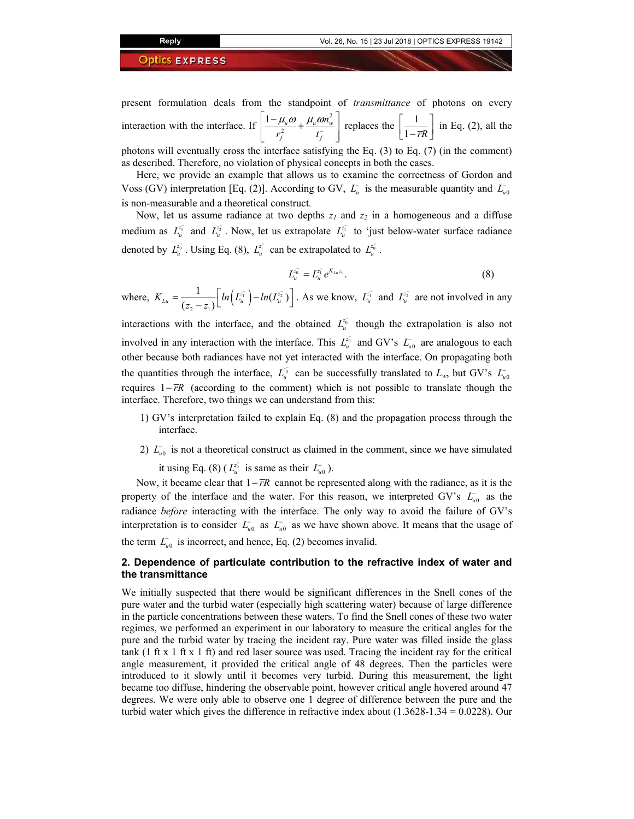present formulation deals from the standpoint of *transmittance* of photons on every interaction with the interface. If  $\left( \frac{1 - \mu_u \omega}{2} + \frac{\mu_u \omega}{2} \right)$  $\frac{1-\mu_u\omega}{r^2}+\frac{\mu_u\omega n_w^2}{r^-}$ f  $\iota_f$ *n*  $r_f^2$   $t_f^ \mu_{\scriptscriptstyle u} \omega_{\scriptscriptstyle \perp} \mu_{\scriptscriptstyle \mu} \omega_{\scriptscriptstyle \ell}$ −  $\frac{1-\mu_u\omega}{2}+\frac{\mu_u\omega n_w^2}{2}$  $\left[ \begin{array}{cc} r_f^2 & t_f^- \end{array} \right]$ replaces the  $\frac{1}{1-\overline{r}R}$   $\left[\frac{1}{1-\overline{rR}}\right]$  in Eq. (2), all the photons will eventually cross the interface satisfying the Eq. (3) to Eq. (7) (in the comment)

as described. Therefore, no violation of physical concepts in both the cases.

Here, we provide an example that allows us to examine the correctness of Gordon and Voss (GV) interpretation [Eq. (2)]. According to GV,  $L$ <sup>*u*</sup> is the measurable quantity and  $L$ <sup>-</sup><sub>*u*0</sub> is non-measurable and a theoretical construct.

Now, let us assume radiance at two depths  $z_I$  and  $z_2$  in a homogeneous and a diffuse medium as  $L_u^{\bar{z_1}}$  and  $L_u^{\bar{z_2}}$ . Now, let us extrapolate  $L_u^{\bar{z_1}}$  to 'just below-water surface radiance denoted by  $L_{u}^{z_{0}}$ . Using Eq. (8),  $L_{u}^{z_{1}}$  can be extrapolated to  $L_{u}^{z_{0}}$ .

$$
L_u^{z_0^-} = L_u^{z_1^-} e^{K_{Lu} z_1}.
$$
\n(8)

where,  $K_{Lu} = \frac{1}{(z_2 - z_1)} \left[ ln(L_u^{z_1}) - ln(L_u^{z_2}) \right]$  $K_{Lu} = \frac{1}{(z_2 - z_1)} \left[ ln(L_u^{z_1^-}) - ln(L_u^{z_2^-}) \right]$  $=\frac{1}{(z_2-z_1)}\left[\ln\left(L_{u}^{z_1}\right)-\ln(L_{u}^{z_2}\right)\right]$ . As we know,  $L_{u}^{z_1}$  and  $L_{u}^{z_2}$  are not involved in any

interactions with the interface, and the obtained  $L^{\bar{z}_0}_{u}$  though the extrapolation is also not involved in any interaction with the interface. This  $L_u^{\bar{z}_0}$  and GV's  $L_u^{\bar{z}_0}$  are analogous to each other because both radiances have not yet interacted with the interface. On propagating both the quantities through the interface,  $L^{\bar{z}_0}_{u}$  can be successfully translated to  $L_w$ , but GV's  $L^{\bar{z}_0}_{u}$ requires 1− *rR* (according to the comment) which is not possible to translate though the interface. Therefore, two things we can understand from this:

- 1) GV's interpretation failed to explain Eq. (8) and the propagation process through the interface.
- 2)  $L_{u0}^-$  is not a theoretical construct as claimed in the comment, since we have simulated it using Eq. (8) ( $L_u^{\bar{z}_0}$  is same as their  $L_{u0}$ ).

Now, it became clear that  $1-\overline{r}R$  cannot be represented along with the radiance, as it is the property of the interface and the water. For this reason, we interpreted GV's  $L_{u0}^-$  as the radiance *before* interacting with the interface. The only way to avoid the failure of GV's interpretation is to consider  $L_{u0}^-$  as  $L_{u0}^-$  as we have shown above. It means that the usage of the term  $L_{u0}^-$  is incorrect, and hence, Eq. (2) becomes invalid.

# **2. Dependence of particulate contribution to the refractive index of water and the transmittance**

We initially suspected that there would be significant differences in the Snell cones of the pure water and the turbid water (especially high scattering water) because of large difference in the particle concentrations between these waters. To find the Snell cones of these two water regimes, we performed an experiment in our laboratory to measure the critical angles for the pure and the turbid water by tracing the incident ray. Pure water was filled inside the glass tank  $(1 \text{ ft } x 1 \text{ ft } x 1 \text{ ft})$  and red laser source was used. Tracing the incident ray for the critical angle measurement, it provided the critical angle of 48 degrees. Then the particles were introduced to it slowly until it becomes very turbid. During this measurement, the light became too diffuse, hindering the observable point, however critical angle hovered around 47 degrees. We were only able to observe one 1 degree of difference between the pure and the turbid water which gives the difference in refractive index about (1.3628-1.34 = 0.0228). Our